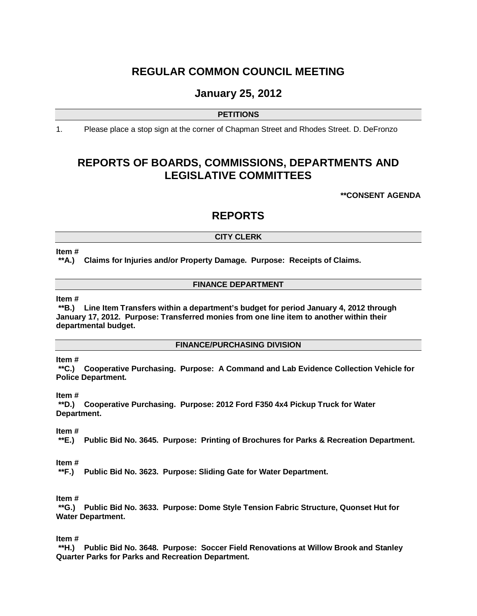# **REGULAR COMMON COUNCIL MEETING**

# **January 25, 2012**

# **PETITIONS**

1. Please place a stop sign at the corner of Chapman Street and Rhodes Street. D. DeFronzo

# **REPORTS OF BOARDS, COMMISSIONS, DEPARTMENTS AND LEGISLATIVE COMMITTEES**

**\*\*CONSENT AGENDA**

# **REPORTS**

# **CITY CLERK**

#### **Item #**

**\*\*A.) Claims for Injuries and/or Property Damage. Purpose: Receipts of Claims.**

#### **FINANCE DEPARTMENT**

# **Item #**

**\*\*B.) Line Item Transfers within a department's budget for period January 4, 2012 through January 17, 2012. Purpose: Transferred monies from one line item to another within their departmental budget.** 

## **FINANCE/PURCHASING DIVISION**

# **Item #**

**\*\*C.) Cooperative Purchasing. Purpose: A Command and Lab Evidence Collection Vehicle for Police Department.**

#### **Item #**

**\*\*D.) Cooperative Purchasing. Purpose: 2012 Ford F350 4x4 Pickup Truck for Water Department.**

# **Item #**

**\*\*E.) Public Bid No. 3645. Purpose: Printing of Brochures for Parks & Recreation Department.**

# **Item #**

**\*\*F.) Public Bid No. 3623. Purpose: Sliding Gate for Water Department.**

# **Item #**

**\*\*G.) Public Bid No. 3633. Purpose: Dome Style Tension Fabric Structure, Quonset Hut for Water Department.**

#### **Item #**

**\*\*H.) Public Bid No. 3648. Purpose: Soccer Field Renovations at Willow Brook and Stanley Quarter Parks for Parks and Recreation Department.**